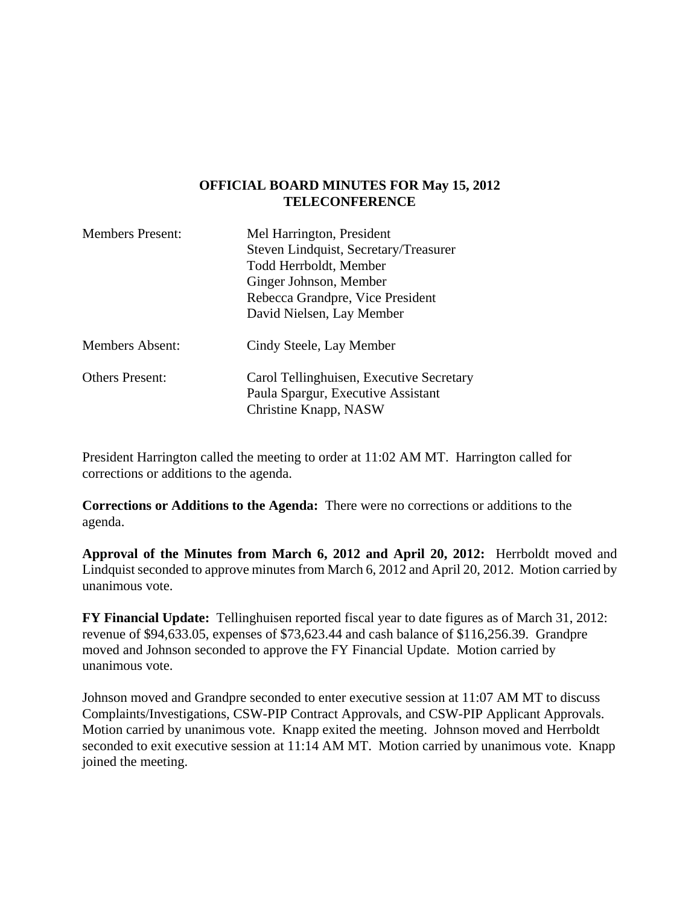#### **OFFICIAL BOARD MINUTES FOR May 15, 2012 TELECONFERENCE**

| <b>Members Present:</b> | Mel Harrington, President<br>Steven Lindquist, Secretary/Treasurer<br>Todd Herrboldt, Member<br>Ginger Johnson, Member<br>Rebecca Grandpre, Vice President<br>David Nielsen, Lay Member |
|-------------------------|-----------------------------------------------------------------------------------------------------------------------------------------------------------------------------------------|
| <b>Members Absent:</b>  | Cindy Steele, Lay Member                                                                                                                                                                |
| <b>Others Present:</b>  | Carol Tellinghuisen, Executive Secretary<br>Paula Spargur, Executive Assistant<br>Christine Knapp, NASW                                                                                 |

President Harrington called the meeting to order at 11:02 AM MT. Harrington called for corrections or additions to the agenda.

**Corrections or Additions to the Agenda:** There were no corrections or additions to the agenda.

**Approval of the Minutes from March 6, 2012 and April 20, 2012:** Herrboldt moved and Lindquist seconded to approve minutes from March 6, 2012 and April 20, 2012. Motion carried by unanimous vote.

**FY Financial Update:** Tellinghuisen reported fiscal year to date figures as of March 31, 2012: revenue of \$94,633.05, expenses of \$73,623.44 and cash balance of \$116,256.39. Grandpre moved and Johnson seconded to approve the FY Financial Update. Motion carried by unanimous vote.

Johnson moved and Grandpre seconded to enter executive session at 11:07 AM MT to discuss Complaints/Investigations, CSW-PIP Contract Approvals, and CSW-PIP Applicant Approvals. Motion carried by unanimous vote. Knapp exited the meeting. Johnson moved and Herrboldt seconded to exit executive session at 11:14 AM MT. Motion carried by unanimous vote. Knapp joined the meeting.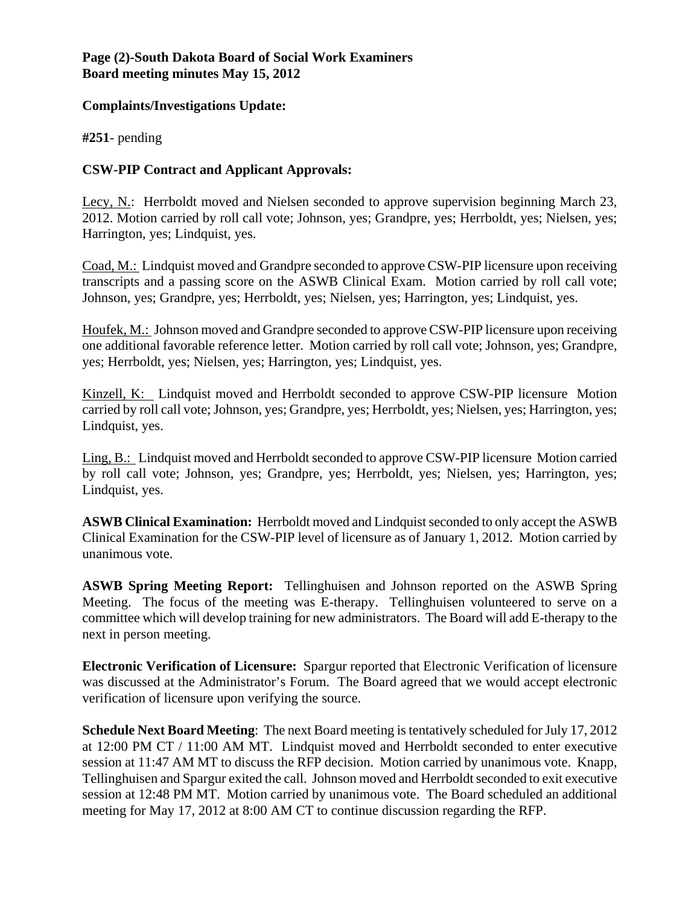### **Page (2)-South Dakota Board of Social Work Examiners Board meeting minutes May 15, 2012**

#### **Complaints/Investigations Update:**

**#251**- pending

## **CSW-PIP Contract and Applicant Approvals:**

Lecy, N.: Herrboldt moved and Nielsen seconded to approve supervision beginning March 23, 2012. Motion carried by roll call vote; Johnson, yes; Grandpre, yes; Herrboldt, yes; Nielsen, yes; Harrington, yes; Lindquist, yes.

Coad, M.: Lindquist moved and Grandpre seconded to approve CSW-PIP licensure upon receiving transcripts and a passing score on the ASWB Clinical Exam. Motion carried by roll call vote; Johnson, yes; Grandpre, yes; Herrboldt, yes; Nielsen, yes; Harrington, yes; Lindquist, yes.

Houfek, M.: Johnson moved and Grandpre seconded to approve CSW-PIP licensure upon receiving one additional favorable reference letter. Motion carried by roll call vote; Johnson, yes; Grandpre, yes; Herrboldt, yes; Nielsen, yes; Harrington, yes; Lindquist, yes.

Kinzell, K: Lindquist moved and Herrboldt seconded to approve CSW-PIP licensure Motion carried by roll call vote; Johnson, yes; Grandpre, yes; Herrboldt, yes; Nielsen, yes; Harrington, yes; Lindquist, yes.

Ling, B.: Lindquist moved and Herrboldt seconded to approve CSW-PIP licensure Motion carried by roll call vote; Johnson, yes; Grandpre, yes; Herrboldt, yes; Nielsen, yes; Harrington, yes; Lindquist, yes.

**ASWB Clinical Examination:** Herrboldt moved and Lindquist seconded to only accept the ASWB Clinical Examination for the CSW-PIP level of licensure as of January 1, 2012.Motion carried by unanimous vote.

**ASWB Spring Meeting Report:** Tellinghuisen and Johnson reported on the ASWB Spring Meeting. The focus of the meeting was E-therapy. Tellinghuisen volunteered to serve on a committee which will develop training for new administrators. The Board will add E-therapy to the next in person meeting.

**Electronic Verification of Licensure:** Spargur reported that Electronic Verification of licensure was discussed at the Administrator's Forum. The Board agreed that we would accept electronic verification of licensure upon verifying the source.

**Schedule Next Board Meeting**: The next Board meeting is tentatively scheduled for July 17, 2012 at 12:00 PM CT / 11:00 AM MT. Lindquist moved and Herrboldt seconded to enter executive session at 11:47 AM MT to discuss the RFP decision. Motion carried by unanimous vote. Knapp, Tellinghuisen and Spargur exited the call. Johnson moved and Herrboldt seconded to exit executive session at 12:48 PM MT. Motion carried by unanimous vote. The Board scheduled an additional meeting for May 17, 2012 at 8:00 AM CT to continue discussion regarding the RFP.